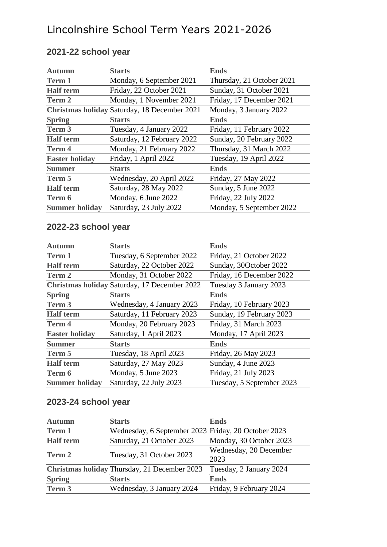# Lincolnshire School Term Years 2021-2026

| <b>Autumn</b>         | <b>Starts</b>                                | <b>Ends</b>               |
|-----------------------|----------------------------------------------|---------------------------|
| <b>Term 1</b>         | Monday, 6 September 2021                     | Thursday, 21 October 2021 |
| <b>Half</b> term      | Friday, 22 October 2021                      | Sunday, 31 October 2021   |
| Term 2                | Monday, 1 November 2021                      | Friday, 17 December 2021  |
|                       | Christmas holiday Saturday, 18 December 2021 | Monday, 3 January 2022    |
| <b>Spring</b>         | <b>Starts</b>                                | <b>Ends</b>               |
| Term 3                | Tuesday, 4 January 2022                      | Friday, 11 February 2022  |
| <b>Half</b> term      | Saturday, 12 February 2022                   | Sunday, 20 February 2022  |
| <b>Term 4</b>         | Monday, 21 February 2022                     | Thursday, 31 March 2022   |
| <b>Easter holiday</b> | Friday, 1 April 2022                         | Tuesday, 19 April 2022    |
| <b>Summer</b>         | <b>Starts</b>                                | <b>Ends</b>               |
| Term 5                | Wednesday, 20 April 2022                     | Friday, 27 May 2022       |
| <b>Half</b> term      | Saturday, 28 May 2022                        | Sunday, 5 June 2022       |
| Term 6                | Monday, 6 June 2022                          | Friday, 22 July 2022      |
| <b>Summer holiday</b> | Saturday, 23 July 2022                       | Monday, 5 September 2022  |

### **2021-22 school year**

### **2022-23 school year**

| <b>Autumn</b>         | <b>Starts</b>                                | <b>Ends</b>               |
|-----------------------|----------------------------------------------|---------------------------|
| <b>Term 1</b>         | Tuesday, 6 September 2022                    | Friday, 21 October 2022   |
| <b>Half</b> term      | Saturday, 22 October 2022                    | Sunday, 30October 2022    |
| Term 2                | Monday, 31 October 2022                      | Friday, 16 December 2022  |
|                       | Christmas holiday Saturday, 17 December 2022 | Tuesday 3 January 2023    |
| <b>Spring</b>         | <b>Starts</b>                                | <b>Ends</b>               |
| Term 3                | Wednesday, 4 January 2023                    | Friday, 10 February 2023  |
| <b>Half</b> term      | Saturday, 11 February 2023                   | Sunday, 19 February 2023  |
| <b>Term 4</b>         | Monday, 20 February 2023                     | Friday, 31 March 2023     |
| <b>Easter holiday</b> | Saturday, 1 April 2023                       | Monday, 17 April 2023     |
| <b>Summer</b>         | <b>Starts</b>                                | <b>Ends</b>               |
| Term 5                | Tuesday, 18 April 2023                       | Friday, 26 May 2023       |
| <b>Half</b> term      | Saturday, 27 May 2023                        | Sunday, 4 June 2023       |
| Term 6                | Monday, 5 June 2023                          | Friday, 21 July 2023      |
| <b>Summer holiday</b> | Saturday, 22 July 2023                       | Tuesday, 5 September 2023 |

#### **2023-24 school year**

| <b>Autumn</b>    | <b>Starts</b>                                       | <b>Ends</b>                    |
|------------------|-----------------------------------------------------|--------------------------------|
| Term 1           | Wednesday, 6 September 2023 Friday, 20 October 2023 |                                |
| <b>Half</b> term | Saturday, 21 October 2023                           | Monday, 30 October 2023        |
| Term 2           | Tuesday, 31 October 2023                            | Wednesday, 20 December<br>2023 |
|                  | Christmas holiday Thursday, 21 December 2023        | Tuesday, 2 January 2024        |
| <b>Spring</b>    | <b>Starts</b>                                       | <b>Ends</b>                    |
| Term 3           | Wednesday, 3 January 2024                           | Friday, 9 February 2024        |